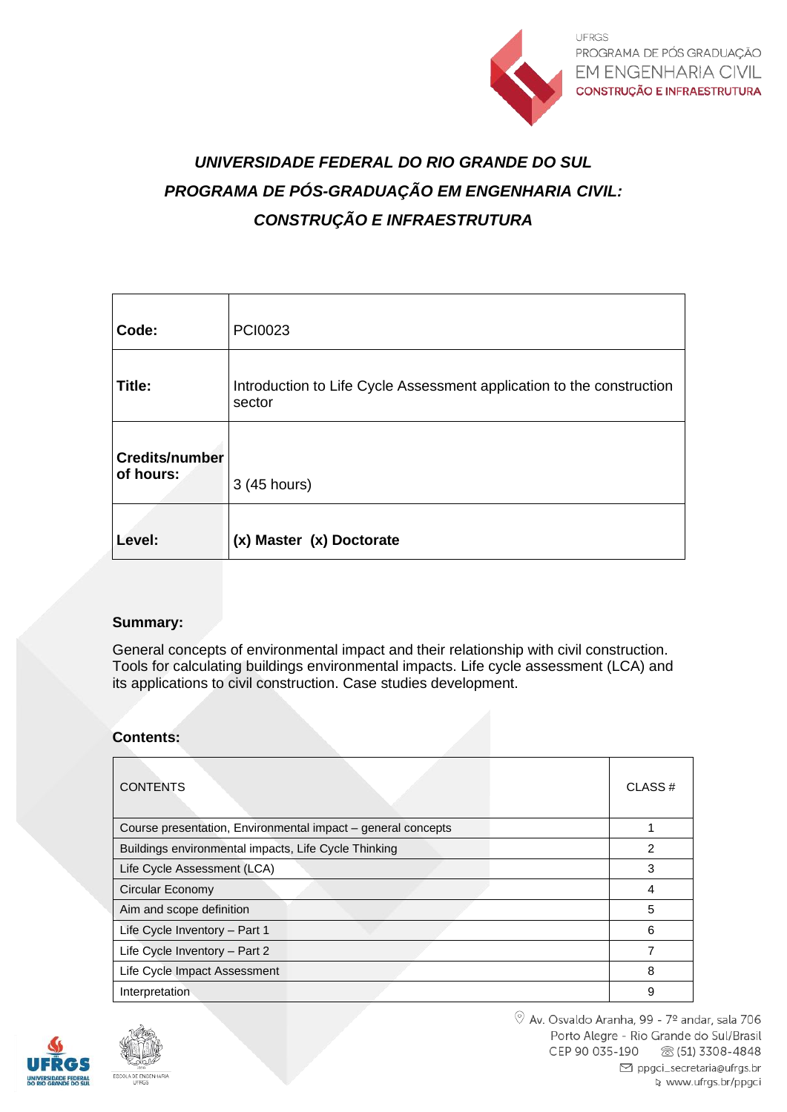

# *UNIVERSIDADE FEDERAL DO RIO GRANDE DO SUL PROGRAMA DE PÓS-GRADUAÇÃO EM ENGENHARIA CIVIL: CONSTRUÇÃO E INFRAESTRUTURA*

| Code:                              | PCI0023                                                                         |
|------------------------------------|---------------------------------------------------------------------------------|
| Title:                             | Introduction to Life Cycle Assessment application to the construction<br>sector |
| <b>Credits/number</b><br>of hours: | 3 (45 hours)                                                                    |
| Level:                             | (x) Master (x) Doctorate                                                        |

# **Summary:**

General concepts of environmental impact and their relationship with civil construction. Tools for calculating buildings environmental impacts. Life cycle assessment (LCA) and its applications to civil construction. Case studies development.

# **Contents:**

| <b>CONTENTS</b>                                              | CLASS# |  |
|--------------------------------------------------------------|--------|--|
| Course presentation, Environmental impact - general concepts |        |  |
| Buildings environmental impacts, Life Cycle Thinking         |        |  |
| Life Cycle Assessment (LCA)                                  |        |  |
| Circular Economy                                             |        |  |
| Aim and scope definition                                     | 5      |  |
| Life Cycle Inventory - Part 1                                | 6      |  |
| Life Cycle Inventory - Part 2                                |        |  |
| Life Cycle Impact Assessment                                 | 8      |  |
| Interpretation                                               | 9      |  |

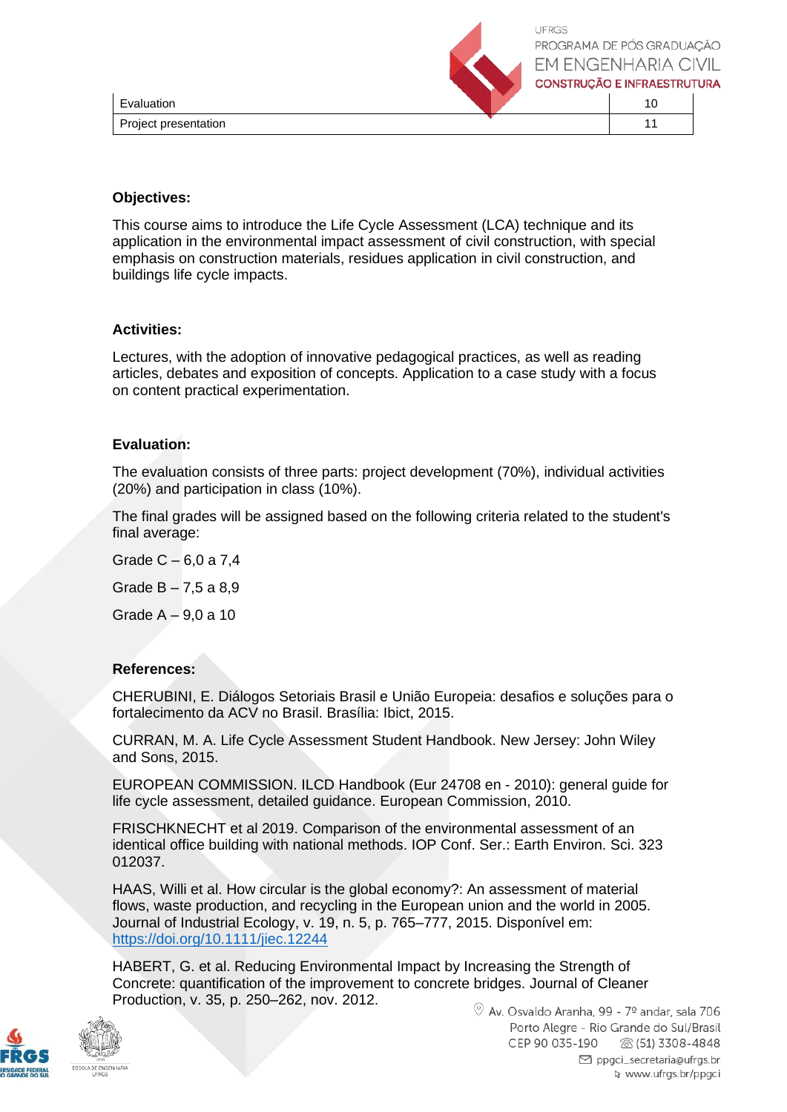

LIERGS PROGRAMA DE PÓS GRADUACÃO **EM ENGENHARIA CIVIL CONSTRUCÃO E INFRAESTRUTURA** 

| Evaluation           |  |  |
|----------------------|--|--|
| Project presentation |  |  |

### **Objectives:**

This course aims to introduce the Life Cycle Assessment (LCA) technique and its application in the environmental impact assessment of civil construction, with special emphasis on construction materials, residues application in civil construction, and buildings life cycle impacts.

### **Activities:**

Lectures, with the adoption of innovative pedagogical practices, as well as reading articles, debates and exposition of concepts. Application to a case study with a focus on content practical experimentation.

### **Evaluation:**

The evaluation consists of three parts: project development (70%), individual activities (20%) and participation in class (10%).

The final grades will be assigned based on the following criteria related to the student's final average:

Grade C – 6,0 a 7,4 Grade  $B - 7,5$  a 8,9 Grade A – 9,0 a 10

# **References:**

CHERUBINI, E. Diálogos Setoriais Brasil e União Europeia: desafios e soluções para o fortalecimento da ACV no Brasil. Brasília: Ibict, 2015.

CURRAN, M. A. Life Cycle Assessment Student Handbook. New Jersey: John Wiley and Sons, 2015.

EUROPEAN COMMISSION. ILCD Handbook (Eur 24708 en - 2010): general guide for life cycle assessment, detailed guidance. European Commission, 2010.

FRISCHKNECHT et al 2019. Comparison of the environmental assessment of an identical office building with national methods. IOP Conf. Ser.: Earth Environ. Sci. 323 012037.

HAAS, Willi et al. How circular is the global economy?: An assessment of material flows, waste production, and recycling in the European union and the world in 2005. Journal of Industrial Ecology, v. 19, n. 5, p. 765–777, 2015. Disponível em: <https://doi.org/10.1111/jiec.12244>

HABERT, G. et al. Reducing Environmental Impact by Increasing the Strength of Concrete: quantification of the improvement to concrete bridges. Journal of Cleaner Production, v. 35, p. 250–262, nov. 2012.